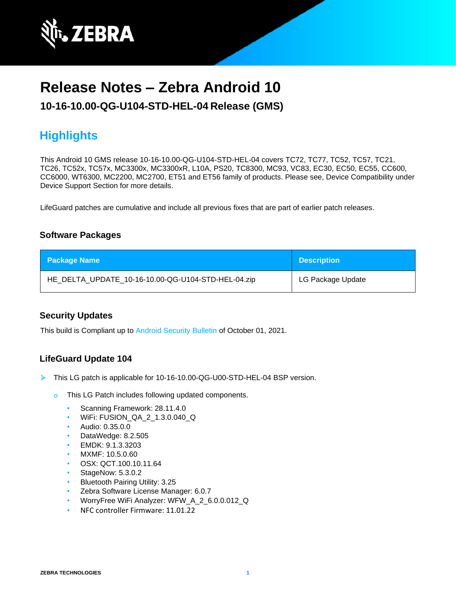

# **Release Notes – Zebra Android 10**

## **10-16-10.00-QG-U104-STD-HEL-04 Release (GMS)**

# **Highlights**

This Android 10 GMS release 10-16-10.00-QG-U104-STD-HEL-04 covers TC72, TC77, TC52, TC57, TC21, TC26, TC52x, TC57x, MC3300x, MC3300xR, L10A, PS20, TC8300, MC93, VC83, EC30, EC50, EC55, CC600, CC6000, WT6300, MC2200, MC2700, ET51 and ET56 family of products. Please see, Device Compatibility under Device Support Section for more details.

LifeGuard patches are cumulative and include all previous fixes that are part of earlier patch releases.

## **Software Packages**

| <b>Package Name</b>                                | <b>Description</b> |
|----------------------------------------------------|--------------------|
| HE_DELTA_UPDATE_10-16-10.00-QG-U104-STD-HEL-04.zip | LG Package Update  |

## **Security Updates**

This build is Compliant up to [Android Security Bulletin](https://source.android.com/security/bulletin/) of October 01, 2021.

## **LifeGuard Update 104**

- ➢ This LG patch is applicable for 10-16-10.00-QG-U00-STD-HEL-04 BSP version.
	- **o** This LG Patch includes following updated components.
		- Scanning Framework: 28.11.4.0
		- WiFi: FUSION\_QA\_2\_1.3.0.040\_Q
		- Audio: 0.35.0.0
		- DataWedge: 8.2.505
		- EMDK: 9.1.3.3203
		- MXMF: 10.5.0.60
		- OSX: QCT.100.10.11.64
		- StageNow: 5.3.0.2
		- Bluetooth Pairing Utility: 3.25
		- Zebra Software License Manager: 6.0.7
		- WorryFree WiFi Analyzer: WFW\_A\_2\_6.0.0.012\_Q
		- NFC controller Firmware: 11.01.22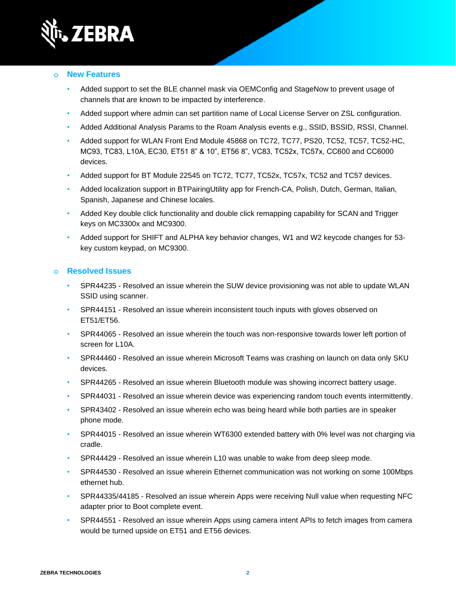

#### **o New Features**

- Added support to set the BLE channel mask via OEMConfig and StageNow to prevent usage of channels that are known to be impacted by interference.
- Added support where admin can set partition name of Local License Server on ZSL configuration.
- Added Additional Analysis Params to the Roam Analysis events e.g., SSID, BSSID, RSSI, Channel.
- Added support for WLAN Front End Module 45868 on TC72, TC77, PS20, TC52, TC57, TC52-HC, MC93, TC83, L10A, EC30, ET51 8" & 10", ET56 8", VC83, TC52x, TC57x, CC600 and CC6000 devices.
- Added support for BT Module 22545 on TC72, TC77, TC52x, TC57x, TC52 and TC57 devices.
- Added localization support in BTPairingUtility app for French-CA, Polish, Dutch, German, Italian, Spanish, Japanese and Chinese locales.
- Added Key double click functionality and double click remapping capability for SCAN and Trigger keys on MC3300x and MC9300.
- Added support for SHIFT and ALPHA key behavior changes, W1 and W2 keycode changes for 53 key custom keypad, on MC9300.

- SPR44235 Resolved an issue wherein the SUW device provisioning was not able to update WLAN SSID using scanner.
- SPR44151 Resolved an issue wherein inconsistent touch inputs with gloves observed on ET51/ET56.
- SPR44065 Resolved an issue wherein the touch was non-responsive towards lower left portion of screen for L10A.
- SPR44460 Resolved an issue wherein Microsoft Teams was crashing on launch on data only SKU devices.
- SPR44265 Resolved an issue wherein Bluetooth module was showing incorrect battery usage.
- SPR44031 Resolved an issue wherein device was experiencing random touch events intermittently.
- SPR43402 Resolved an issue wherein echo was being heard while both parties are in speaker phone mode.
- SPR44015 Resolved an issue wherein WT6300 extended battery with 0% level was not charging via cradle.
- SPR44429 Resolved an issue wherein L10 was unable to wake from deep sleep mode.
- SPR44530 Resolved an issue wherein Ethernet communication was not working on some 100Mbps ethernet hub.
- SPR44335/44185 Resolved an issue wherein Apps were receiving Null value when requesting NFC adapter prior to Boot complete event.
- SPR44551 Resolved an issue wherein Apps using camera intent APIs to fetch images from camera would be turned upside on ET51 and ET56 devices.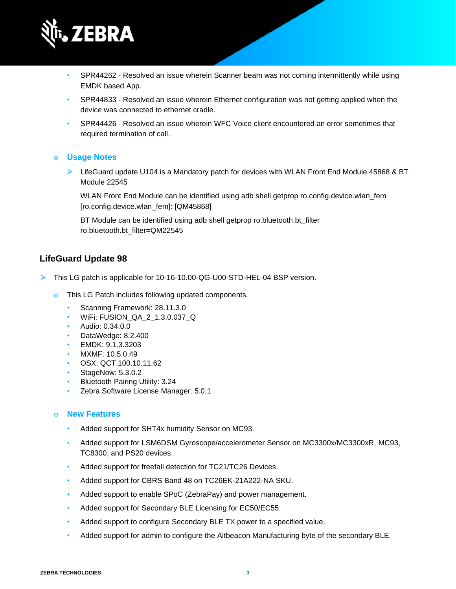

- SPR44262 Resolved an issue wherein Scanner beam was not coming intermittently while using EMDK based App.
- SPR44833 Resolved an issue wherein Ethernet configuration was not getting applied when the device was connected to ethernet cradle.
- SPR44426 Resolved an issue wherein WFC Voice client encountered an error sometimes that required termination of call.

#### **o Usage Notes**

➢ LifeGuard update U104 is a Mandatory patch for devices with WLAN Front End Module 45868 & BT Module 22545

WLAN Front End Module can be identified using adb shell getprop ro.config.device.wlan\_fem [ro.config.device.wlan\_fem]: [QM45868]

BT Module can be identified using adb shell getprop ro.bluetooth.bt filter ro.bluetooth.bt\_filter=QM22545

## **LifeGuard Update 98**

- ➢ This LG patch is applicable for 10-16-10.00-QG-U00-STD-HEL-04 BSP version.
	- **o** This LG Patch includes following updated components.
		- Scanning Framework: 28.11.3.0
		- WiFi: FUSION\_QA\_2\_1.3.0.037\_Q
		- Audio: 0.34.0.0
		- DataWedge: 8.2.400
		- EMDK: 9.1.3.3203
		- MXMF: 10.5.0.49
		- OSX: QCT.100.10.11.62
		- StageNow: 5.3.0.2
		- Bluetooth Pairing Utility: 3.24
		- Zebra Software License Manager: 5.0.1

#### **o New Features**

- Added support for SHT4x humidity Sensor on MC93.
- Added support for LSM6DSM Gyroscope/accelerometer Sensor on MC3300x/MC3300xR, MC93, TC8300, and PS20 devices.
- Added support for freefall detection for TC21/TC26 Devices.
- Added support for CBRS Band 48 on TC26EK-21A222-NA SKU.
- Added support to enable SPoC (ZebraPay) and power management.
- Added support for Secondary BLE Licensing for EC50/EC55.
- Added support to configure Secondary BLE TX power to a specified value.
- Added support for admin to configure the Altbeacon Manufacturing byte of the secondary BLE.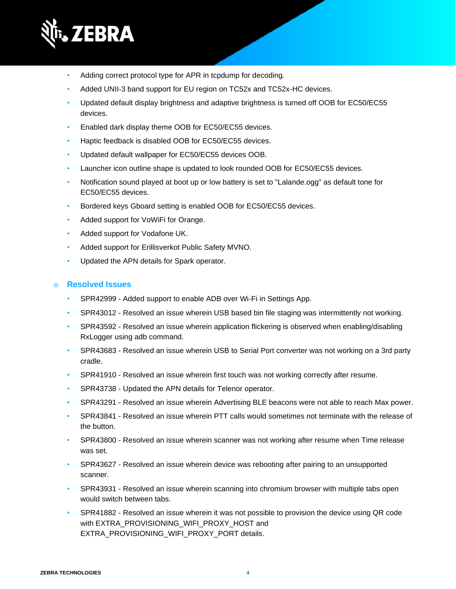

- Adding correct protocol type for APR in tcpdump for decoding.
- Added UNII-3 band support for EU region on TC52x and TC52x-HC devices.
- Updated default display brightness and adaptive brightness is turned off OOB for EC50/EC55 devices.
- Enabled dark display theme OOB for EC50/EC55 devices.
- Haptic feedback is disabled OOB for EC50/EC55 devices.
- Updated default wallpaper for EC50/EC55 devices OOB.
- Launcher icon outline shape is updated to look rounded OOB for EC50/EC55 devices.
- Notification sound played at boot up or low battery is set to "Lalande.ogg" as default tone for EC50/EC55 devices.
- Bordered keys Gboard setting is enabled OOB for EC50/EC55 devices.
- Added support for VoWiFi for Orange.
- Added support for Vodafone UK.
- Added support for Erillisverkot Public Safety MVNO.
- Updated the APN details for Spark operator.

- SPR42999 Added support to enable ADB over Wi-Fi in Settings App.
- SPR43012 Resolved an issue wherein USB based bin file staging was intermittently not working.
- SPR43592 Resolved an issue wherein application flickering is observed when enabling/disabling RxLogger using adb command.
- SPR43683 Resolved an issue wherein USB to Serial Port converter was not working on a 3rd party cradle.
- SPR41910 Resolved an issue wherein first touch was not working correctly after resume.
- SPR43738 Updated the APN details for Telenor operator.
- SPR43291 Resolved an issue wherein Advertising BLE beacons were not able to reach Max power.
- SPR43841 Resolved an issue wherein PTT calls would sometimes not terminate with the release of the button.
- SPR43800 Resolved an issue wherein scanner was not working after resume when Time release was set.
- SPR43627 Resolved an issue wherein device was rebooting after pairing to an unsupported scanner.
- SPR43931 Resolved an issue wherein scanning into chromium browser with multiple tabs open would switch between tabs.
- SPR41882 Resolved an issue wherein it was not possible to provision the device using QR code with EXTRA\_PROVISIONING\_WIFI\_PROXY\_HOST and EXTRA\_PROVISIONING\_WIFI\_PROXY\_PORT details.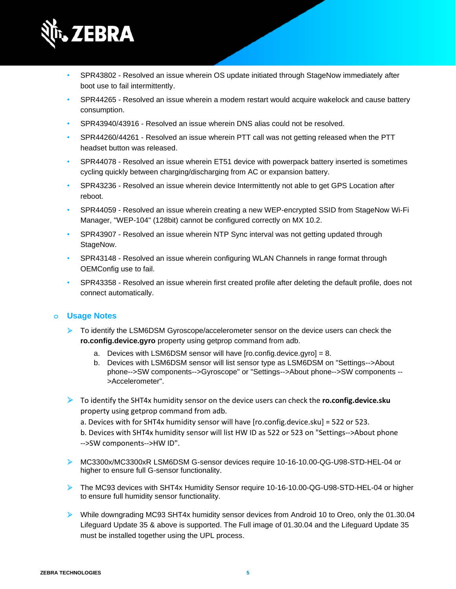

- SPR43802 Resolved an issue wherein OS update initiated through StageNow immediately after boot use to fail intermittently.
- SPR44265 Resolved an issue wherein a modem restart would acquire wakelock and cause battery consumption.
- SPR43940/43916 Resolved an issue wherein DNS alias could not be resolved.
- SPR44260/44261 Resolved an issue wherein PTT call was not getting released when the PTT headset button was released.
- SPR44078 Resolved an issue wherein ET51 device with powerpack battery inserted is sometimes cycling quickly between charging/discharging from AC or expansion battery.
- SPR43236 Resolved an issue wherein device Intermittently not able to get GPS Location after reboot.
- SPR44059 Resolved an issue wherein creating a new WEP-encrypted SSID from StageNow Wi-Fi Manager, "WEP-104" (128bit) cannot be configured correctly on MX 10.2.
- SPR43907 Resolved an issue wherein NTP Sync interval was not getting updated through StageNow.
- SPR43148 Resolved an issue wherein configuring WLAN Channels in range format through OEMConfig use to fail.
- SPR43358 Resolved an issue wherein first created profile after deleting the default profile, does not connect automatically.

#### **o Usage Notes**

- ➢ To identify the LSM6DSM Gyroscope/accelerometer sensor on the device users can check the **ro.config.device.gyro** property using getprop command from adb.
	- a. Devices with LSM6DSM sensor will have  $[ro.config.device.gyro] = 8$ .
	- b. Devices with LSM6DSM sensor will list sensor type as LSM6DSM on "Settings-->About phone-->SW components-->Gyroscope" or "Settings-->About phone-->SW components -- >Accelerometer".
- ➢ To identify the SHT4x humidity sensor on the device users can check the **ro.config.device.sku** property using getprop command from adb.
	- a. Devices with for SHT4x humidity sensor will have [ro.config.device.sku] = 522 or 523.
	- b. Devices with SHT4x humidity sensor will list HW ID as 522 or 523 on "Settings-->About phone -->SW components-->HW ID".
- ➢ MC3300x/MC3300xR LSM6DSM G-sensor devices require 10-16-10.00-QG-U98-STD-HEL-04 or higher to ensure full G-sensor functionality.
- ➢ The MC93 devices with SHT4x Humidity Sensor require 10-16-10.00-QG-U98-STD-HEL-04 or higher to ensure full humidity sensor functionality.
- ➢ While downgrading MC93 SHT4x humidity sensor devices from Android 10 to Oreo, only the 01.30.04 Lifeguard Update 35 & above is supported. The Full image of 01.30.04 and the Lifeguard Update 35 must be installed together using the UPL process.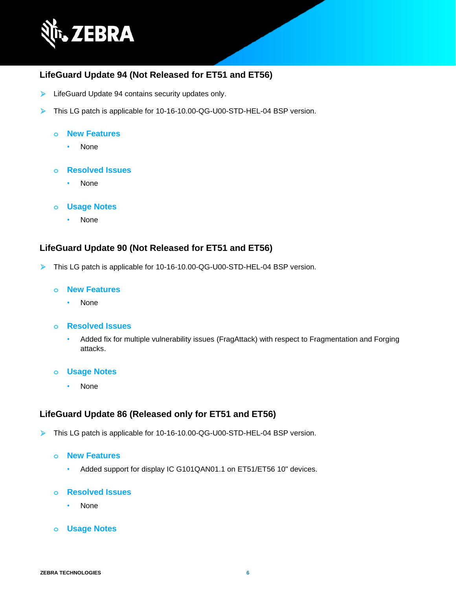

## **LifeGuard Update 94 (Not Released for ET51 and ET56)**

- ➢ LifeGuard Update 94 contains security updates only.
- ➢ This LG patch is applicable for 10-16-10.00-QG-U00-STD-HEL-04 BSP version.

#### **o New Features**

• None

#### **o Resolved Issues**

• None

#### **o Usage Notes**

• None

### **LifeGuard Update 90 (Not Released for ET51 and ET56)**

➢ This LG patch is applicable for 10-16-10.00-QG-U00-STD-HEL-04 BSP version.

#### **o New Features**

• None

#### **o Resolved Issues**

• Added fix for multiple vulnerability issues (FragAttack) with respect to Fragmentation and Forging attacks.

#### **o Usage Notes**

• None

## **LifeGuard Update 86 (Released only for ET51 and ET56)**

➢ This LG patch is applicable for 10-16-10.00-QG-U00-STD-HEL-04 BSP version.

#### **o New Features**

• Added support for display IC G101QAN01.1 on ET51/ET56 10" devices.

- None
- **o Usage Notes**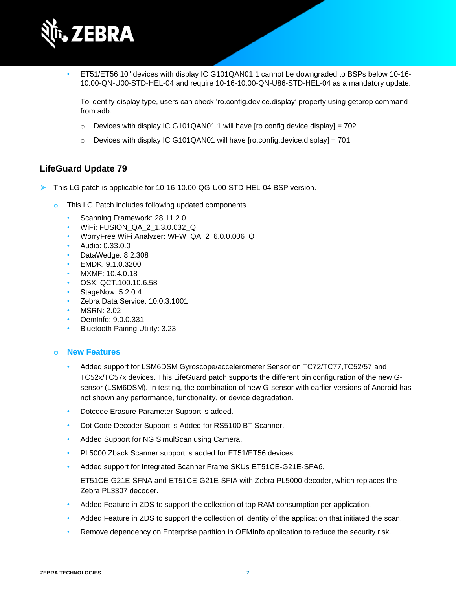

• ET51/ET56 10" devices with display IC G101QAN01.1 cannot be downgraded to BSPs below 10-16- 10.00-QN-U00-STD-HEL-04 and require 10-16-10.00-QN-U86-STD-HEL-04 as a mandatory update.

To identify display type, users can check 'ro.config.device.display' property using getprop command from adb.

- $\circ$  Devices with display IC G101QAN01.1 will have [ro.config.device.display] = 702
- $\circ$  Devices with display IC G101QAN01 will have [ro.config.device.display] = 701

### **LifeGuard Update 79**

- ➢ This LG patch is applicable for 10-16-10.00-QG-U00-STD-HEL-04 BSP version.
	- **o** This LG Patch includes following updated components.
		- Scanning Framework: 28.11.2.0
		- WiFi: FUSION\_QA\_2\_1.3.0.032\_Q
		- WorryFree WiFi Analyzer: WFW\_QA\_2\_6.0.0.006\_Q
		- Audio: 0.33.0.0
		- DataWedge: 8.2.308
		- EMDK: 9.1.0.3200
		- MXMF: 10.4.0.18
		- OSX: QCT.100.10.6.58
		- StageNow: 5.2.0.4
		- Zebra Data Service: 10.0.3.1001
		- MSRN: 2.02
		- OemInfo: 9.0.0.331
		- Bluetooth Pairing Utility: 3.23

#### **o New Features**

- Added support for LSM6DSM Gyroscope/accelerometer Sensor on TC72/TC77,TC52/57 and TC52x/TC57x devices. This LifeGuard patch supports the different pin configuration of the new Gsensor (LSM6DSM). In testing, the combination of new G-sensor with earlier versions of Android has not shown any performance, functionality, or device degradation.
- Dotcode Erasure Parameter Support is added.
- Dot Code Decoder Support is Added for RS5100 BT Scanner.
- Added Support for NG SimulScan using Camera.
- PL5000 Zback Scanner support is added for ET51/ET56 devices.
- Added support for Integrated Scanner Frame SKUs ET51CE-G21E-SFA6,
	- ET51CE-G21E-SFNA and ET51CE-G21E-SFIA with Zebra PL5000 decoder, which replaces the Zebra PL3307 decoder.
- Added Feature in ZDS to support the collection of top RAM consumption per application.
- Added Feature in ZDS to support the collection of identity of the application that initiated the scan.
- Remove dependency on Enterprise partition in OEMInfo application to reduce the security risk.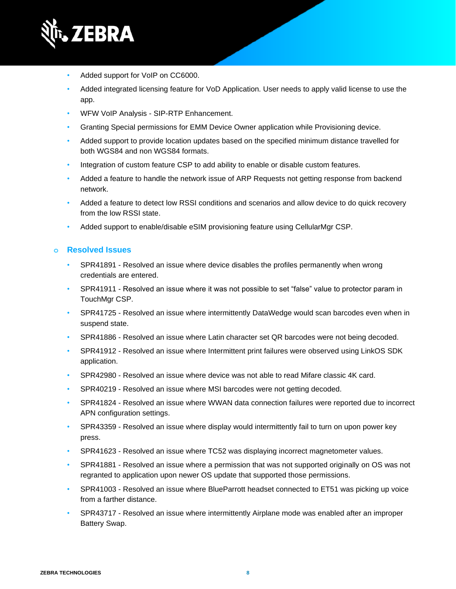

- Added support for VoIP on CC6000.
- Added integrated licensing feature for VoD Application. User needs to apply valid license to use the app.
- WFW VoIP Analysis SIP-RTP Enhancement.
- Granting Special permissions for EMM Device Owner application while Provisioning device.
- Added support to provide location updates based on the specified minimum distance travelled for both WGS84 and non WGS84 formats.
- Integration of custom feature CSP to add ability to enable or disable custom features.
- Added a feature to handle the network issue of ARP Requests not getting response from backend network.
- Added a feature to detect low RSSI conditions and scenarios and allow device to do quick recovery from the low RSSI state.
- Added support to enable/disable eSIM provisioning feature using CellularMgr CSP.

- SPR41891 Resolved an issue where device disables the profiles permanently when wrong credentials are entered.
- SPR41911 Resolved an issue where it was not possible to set "false" value to protector param in TouchMgr CSP.
- SPR41725 Resolved an issue where intermittently DataWedge would scan barcodes even when in suspend state.
- SPR41886 Resolved an issue where Latin character set QR barcodes were not being decoded.
- SPR41912 Resolved an issue where Intermittent print failures were observed using LinkOS SDK application.
- SPR42980 Resolved an issue where device was not able to read Mifare classic 4K card.
- SPR40219 Resolved an issue where MSI barcodes were not getting decoded.
- SPR41824 Resolved an issue where WWAN data connection failures were reported due to incorrect APN configuration settings.
- SPR43359 Resolved an issue where display would intermittently fail to turn on upon power key press.
- SPR41623 Resolved an issue where TC52 was displaying incorrect magnetometer values.
- SPR41881 Resolved an issue where a permission that was not supported originally on OS was not regranted to application upon newer OS update that supported those permissions.
- SPR41003 Resolved an issue where BlueParrott headset connected to ET51 was picking up voice from a farther distance.
- SPR43717 Resolved an issue where intermittently Airplane mode was enabled after an improper Battery Swap.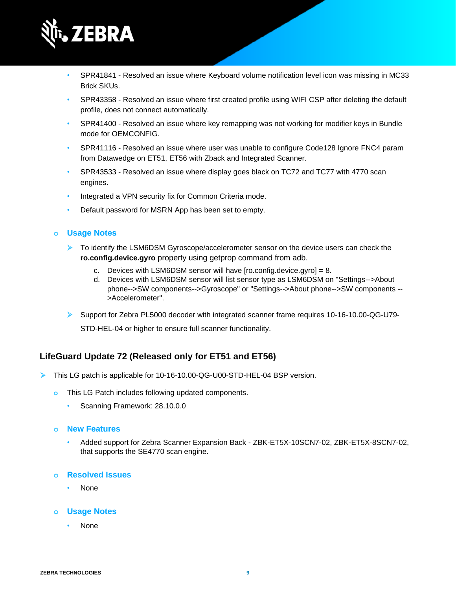

- SPR41841 Resolved an issue where Keyboard volume notification level icon was missing in MC33 Brick SKUs.
- SPR43358 Resolved an issue where first created profile using WIFI CSP after deleting the default profile, does not connect automatically.
- SPR41400 Resolved an issue where key remapping was not working for modifier keys in Bundle mode for OEMCONFIG.
- SPR41116 Resolved an issue where user was unable to configure Code128 Ignore FNC4 param from Datawedge on ET51, ET56 with Zback and Integrated Scanner.
- SPR43533 Resolved an issue where display goes black on TC72 and TC77 with 4770 scan engines.
- Integrated a VPN security fix for Common Criteria mode.
- Default password for MSRN App has been set to empty.

#### **o Usage Notes**

- ➢ To identify the LSM6DSM Gyroscope/accelerometer sensor on the device users can check the **ro.config.device.gyro** property using getprop command from adb.
	- c. Devices with LSM6DSM sensor will have [ro.config.device.gyro] = 8.
	- d. Devices with LSM6DSM sensor will list sensor type as LSM6DSM on "Settings-->About phone-->SW components-->Gyroscope" or "Settings-->About phone-->SW components -- >Accelerometer".
- ➢ Support for Zebra PL5000 decoder with integrated scanner frame requires 10-16-10.00-QG-U79-

STD-HEL-04 or higher to ensure full scanner functionality.

## **LifeGuard Update 72 (Released only for ET51 and ET56)**

- ➢ This LG patch is applicable for 10-16-10.00-QG-U00-STD-HEL-04 BSP version.
	- **o** This LG Patch includes following updated components.
		- Scanning Framework: 28.10.0.0

#### **o New Features**

• Added support for Zebra Scanner Expansion Back - ZBK-ET5X-10SCN7-02, ZBK-ET5X-8SCN7-02, that supports the SE4770 scan engine.

#### **o Resolved Issues**

• None

#### **o Usage Notes**

• None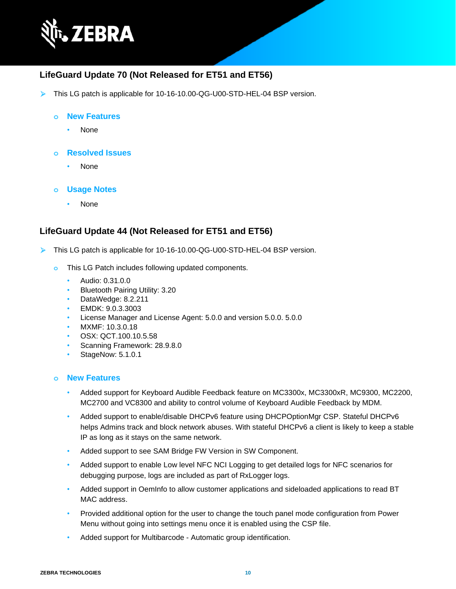

## **LifeGuard Update 70 (Not Released for ET51 and ET56)**

➢ This LG patch is applicable for 10-16-10.00-QG-U00-STD-HEL-04 BSP version.

#### **o New Features**

- None
- **o Resolved Issues**
	- None
- **o Usage Notes**
	- None

## **LifeGuard Update 44 (Not Released for ET51 and ET56)**

- ➢ This LG patch is applicable for 10-16-10.00-QG-U00-STD-HEL-04 BSP version.
	- **o** This LG Patch includes following updated components.
		- Audio: 0.31.0.0
		- Bluetooth Pairing Utility: 3.20
		- DataWedge: 8.2.211
		- EMDK: 9.0.3.3003
		- License Manager and License Agent: 5.0.0 and version 5.0.0. 5.0.0
		- MXMF: 10.3.0.18
		- OSX: QCT.100.10.5.58
		- Scanning Framework: 28.9.8.0
		- StageNow: 5.1.0.1

#### **o New Features**

- Added support for Keyboard Audible Feedback feature on MC3300x, MC3300xR, MC9300, MC2200, MC2700 and VC8300 and ability to control volume of Keyboard Audible Feedback by MDM.
- Added support to enable/disable DHCPv6 feature using DHCPOptionMgr CSP. Stateful DHCPv6 helps Admins track and block network abuses. With stateful DHCPv6 a client is likely to keep a stable IP as long as it stays on the same network.
- Added support to see SAM Bridge FW Version in SW Component.
- Added support to enable Low level NFC NCI Logging to get detailed logs for NFC scenarios for debugging purpose, logs are included as part of RxLogger logs.
- Added support in OemInfo to allow customer applications and sideloaded applications to read BT MAC address.
- Provided additional option for the user to change the touch panel mode configuration from Power Menu without going into settings menu once it is enabled using the CSP file.
- Added support for Multibarcode Automatic group identification.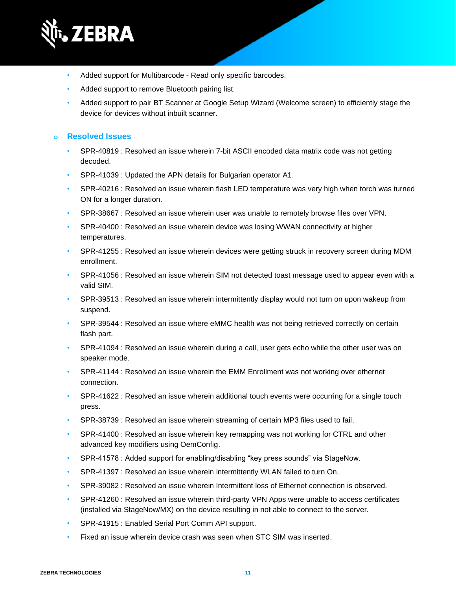

- Added support for Multibarcode Read only specific barcodes.
- Added support to remove Bluetooth pairing list.
- Added support to pair BT Scanner at Google Setup Wizard (Welcome screen) to efficiently stage the device for devices without inbuilt scanner.

- SPR-40819 : Resolved an issue wherein 7-bit ASCII encoded data matrix code was not getting decoded.
- SPR-41039 : Updated the APN details for Bulgarian operator A1.
- SPR-40216 : Resolved an issue wherein flash LED temperature was very high when torch was turned ON for a longer duration.
- SPR-38667 : Resolved an issue wherein user was unable to remotely browse files over VPN.
- SPR-40400 : Resolved an issue wherein device was losing WWAN connectivity at higher temperatures.
- SPR-41255 : Resolved an issue wherein devices were getting struck in recovery screen during MDM enrollment.
- SPR-41056 : Resolved an issue wherein SIM not detected toast message used to appear even with a valid SIM.
- SPR-39513 : Resolved an issue wherein intermittently display would not turn on upon wakeup from suspend.
- SPR-39544 : Resolved an issue where eMMC health was not being retrieved correctly on certain flash part.
- SPR-41094 : Resolved an issue wherein during a call, user gets echo while the other user was on speaker mode.
- SPR-41144 : Resolved an issue wherein the EMM Enrollment was not working over ethernet connection.
- SPR-41622 : Resolved an issue wherein additional touch events were occurring for a single touch press.
- SPR-38739 : Resolved an issue wherein streaming of certain MP3 files used to fail.
- SPR-41400 : Resolved an issue wherein key remapping was not working for CTRL and other advanced key modifiers using OemConfig.
- SPR-41578 : Added support for enabling/disabling "key press sounds" via StageNow.
- SPR-41397 : Resolved an issue wherein intermittently WLAN failed to turn On.
- SPR-39082 : Resolved an issue wherein Intermittent loss of Ethernet connection is observed.
- SPR-41260 : Resolved an issue wherein third-party VPN Apps were unable to access certificates (installed via StageNow/MX) on the device resulting in not able to connect to the server.
- SPR-41915 : Enabled Serial Port Comm API support.
- Fixed an issue wherein device crash was seen when STC SIM was inserted.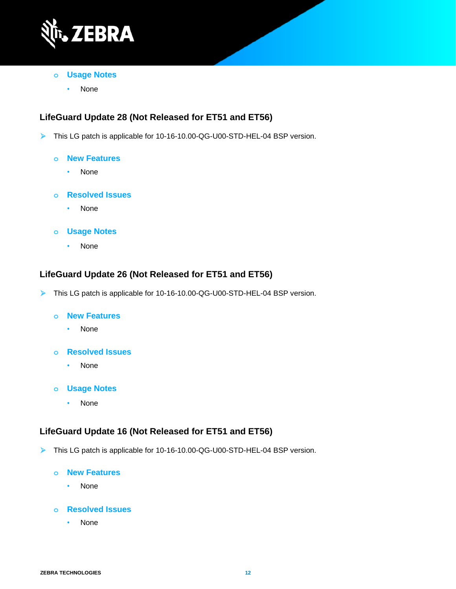

- **o Usage Notes**
	- None

## **LifeGuard Update 28 (Not Released for ET51 and ET56)**

- ➢ This LG patch is applicable for 10-16-10.00-QG-U00-STD-HEL-04 BSP version.
	- **o New Features**
		- None
	- **o Resolved Issues**
		- None
	- **o Usage Notes**
		- None

## **LifeGuard Update 26 (Not Released for ET51 and ET56)**

- ➢ This LG patch is applicable for 10-16-10.00-QG-U00-STD-HEL-04 BSP version.
	- **o New Features**
		- None
	- **o Resolved Issues**
		- None
	- **o Usage Notes**
		- None

## **LifeGuard Update 16 (Not Released for ET51 and ET56)**

- ➢ This LG patch is applicable for 10-16-10.00-QG-U00-STD-HEL-04 BSP version.
	- **o New Features**
		- None
	- **o Resolved Issues**
		- None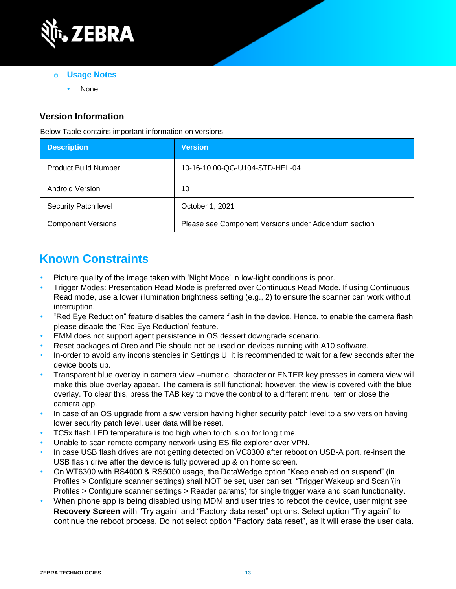

- **o Usage Notes**
	- None

## **Version Information**

Below Table contains important information on versions

| <b>Description</b>          | <b>Version</b>                                       |
|-----------------------------|------------------------------------------------------|
| <b>Product Build Number</b> | 10-16-10.00-QG-U104-STD-HEL-04                       |
| <b>Android Version</b>      | 10                                                   |
| Security Patch level        | October 1, 2021                                      |
| <b>Component Versions</b>   | Please see Component Versions under Addendum section |

## **Known Constraints**

- Picture quality of the image taken with 'Night Mode' in low-light conditions is poor.
- Trigger Modes: Presentation Read Mode is preferred over Continuous Read Mode. If using Continuous Read mode, use a lower illumination brightness setting (e.g., 2) to ensure the scanner can work without interruption.
- "Red Eye Reduction" feature disables the camera flash in the device. Hence, to enable the camera flash please disable the 'Red Eye Reduction' feature.
- EMM does not support agent persistence in OS dessert downgrade scenario.
- Reset packages of Oreo and Pie should not be used on devices running with A10 software.
- In-order to avoid any inconsistencies in Settings UI it is recommended to wait for a few seconds after the device boots up.
- Transparent blue overlay in camera view –numeric, character or ENTER key presses in camera view will make this blue overlay appear. The camera is still functional; however, the view is covered with the blue overlay. To clear this, press the TAB key to move the control to a different menu item or close the camera app.
- In case of an OS upgrade from a s/w version having higher security patch level to a s/w version having lower security patch level, user data will be reset.
- TC5x flash LED temperature is too high when torch is on for long time.
- Unable to scan remote company network using ES file explorer over VPN.
- In case USB flash drives are not getting detected on VC8300 after reboot on USB-A port, re-insert the USB flash drive after the device is fully powered up & on home screen.
- On WT6300 with RS4000 & RS5000 usage, the DataWedge option "Keep enabled on suspend" (in Profiles > Configure scanner settings) shall NOT be set, user can set "Trigger Wakeup and Scan"(in Profiles > Configure scanner settings > Reader params) for single trigger wake and scan functionality.
- When phone app is being disabled using MDM and user tries to reboot the device, user might see **Recovery Screen** with "Try again" and "Factory data reset" options. Select option "Try again" to continue the reboot process. Do not select option "Factory data reset", as it will erase the user data.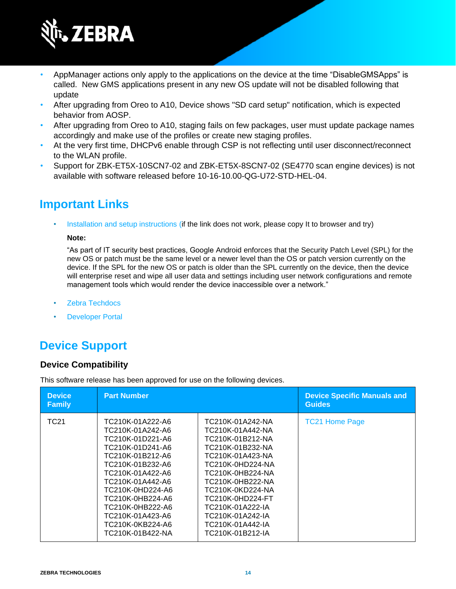

- AppManager actions only apply to the applications on the device at the time "DisableGMSApps" is called. New GMS applications present in any new OS update will not be disabled following that update
- After upgrading from Oreo to A10, Device shows "SD card setup" notification, which is expected behavior from AOSP.
- After upgrading from Oreo to A10, staging fails on few packages, user must update package names accordingly and make use of the profiles or create new staging profiles.
- At the very first time, DHCPv6 enable through CSP is not reflecting until user disconnect/reconnect to the WLAN profile.
- Support for ZBK-ET5X-10SCN7-02 and ZBK-ET5X-8SCN7-02 (SE4770 scan engine devices) is not available with software released before 10-16-10.00-QG-U72-STD-HEL-04.

## **Important Links**

[Installation and setup instructions](https://www.zebra.com/content/dam/zebra_new_ia/en-us/software/operating-system/helios/a10-os-update-instructions.pdf) (if the link does not work, please copy It to browser and try)

#### **Note:**

"As part of IT security best practices, Google Android enforces that the Security Patch Level (SPL) for the new OS or patch must be the same level or a newer level than the OS or patch version currently on the device. If the SPL for the new OS or patch is older than the SPL currently on the device, then the device will enterprise reset and wipe all user data and settings including user network configurations and remote management tools which would render the device inaccessible over a network."

- [Zebra Techdocs](http://techdocs.zebra.com/)
- **[Developer Portal](http://developer.zebra.com/)**

## **Device Support**

#### **Device Compatibility**

This software release has been approved for use on the following devices.

| <b>Device</b><br><b>Family</b> | <b>Part Number</b>                                                                                                                                                                                                                                                                   |                                                                                                                                                                                                                                                                                      | <b>Device Specific Manuals and</b><br><b>Guides</b> |
|--------------------------------|--------------------------------------------------------------------------------------------------------------------------------------------------------------------------------------------------------------------------------------------------------------------------------------|--------------------------------------------------------------------------------------------------------------------------------------------------------------------------------------------------------------------------------------------------------------------------------------|-----------------------------------------------------|
| <b>TC21</b>                    | TC210K-01A222-A6<br>TC210K-01A242-A6<br>TC210K-01D221-A6<br>TC210K-01D241-A6<br>TC210K-01B212-A6<br>TC210K-01B232-A6<br>TC210K-01A422-A6<br>TC210K-01A442-A6<br>TC210K-0HD224-A6<br>TC210K-0HB224-A6<br>TC210K-0HB222-A6<br>TC210K-01A423-A6<br>TC210K-0KB224-A6<br>TC210K-01B422-NA | TC210K-01A242-NA<br>TC210K-01A442-NA<br>TC210K-01B212-NA<br>TC210K-01B232-NA<br>TC210K-01A423-NA<br>TC210K-0HD224-NA<br>TC210K-0HB224-NA<br>TC210K-0HB222-NA<br>TC210K-0KD224-NA<br>TC210K-0HD224-FT<br>TC210K-01A222-IA<br>TC210K-01A242-IA<br>TC210K-01A442-IA<br>TC210K-01B212-IA | <b>TC21 Home Page</b>                               |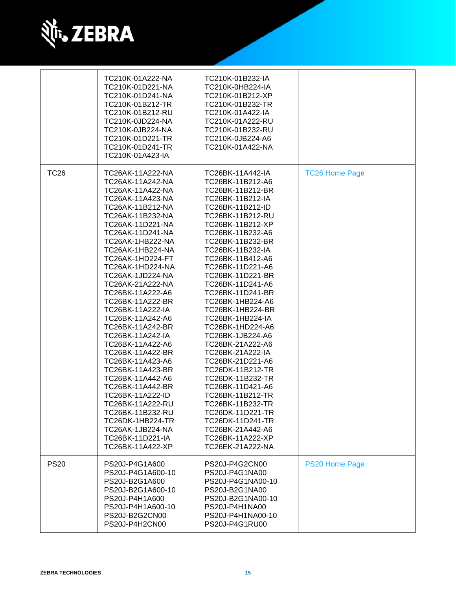

|             | TC210K-01A222-NA<br>TC210K-01D221-NA<br>TC210K-01D241-NA<br>TC210K-01B212-TR<br>TC210K-01B212-RU<br>TC210K-0JD224-NA<br>TC210K-0JB224-NA<br>TC210K-01D221-TR<br>TC210K-01D241-TR<br>TC210K-01A423-IA                                                                                                                                                                                                                                                                                                                                                                                                                                                                                    | TC210K-01B232-IA<br>TC210K-0HB224-IA<br>TC210K-01B212-XP<br>TC210K-01B232-TR<br>TC210K-01A422-IA<br>TC210K-01A222-RU<br>TC210K-01B232-RU<br>TC210K-0JB224-A6<br>TC210K-01A422-NA                                                                                                                                                                                                                                                                                                                                                                                                                                                                                                        |                       |
|-------------|-----------------------------------------------------------------------------------------------------------------------------------------------------------------------------------------------------------------------------------------------------------------------------------------------------------------------------------------------------------------------------------------------------------------------------------------------------------------------------------------------------------------------------------------------------------------------------------------------------------------------------------------------------------------------------------------|-----------------------------------------------------------------------------------------------------------------------------------------------------------------------------------------------------------------------------------------------------------------------------------------------------------------------------------------------------------------------------------------------------------------------------------------------------------------------------------------------------------------------------------------------------------------------------------------------------------------------------------------------------------------------------------------|-----------------------|
| <b>TC26</b> | TC26AK-11A222-NA<br>TC26AK-11A242-NA<br>TC26AK-11A422-NA<br>TC26AK-11A423-NA<br>TC26AK-11B212-NA<br>TC26AK-11B232-NA<br>TC26AK-11D221-NA<br>TC26AK-11D241-NA<br>TC26AK-1HB222-NA<br>TC26AK-1HB224-NA<br><b>TC26AK-1HD224-FT</b><br>TC26AK-1HD224-NA<br>TC26AK-1JD224-NA<br>TC26AK-21A222-NA<br>TC26BK-11A222-A6<br>TC26BK-11A222-BR<br>TC26BK-11A222-IA<br>TC26BK-11A242-A6<br>TC26BK-11A242-BR<br>TC26BK-11A242-IA<br>TC26BK-11A422-A6<br>TC26BK-11A422-BR<br>TC26BK-11A423-A6<br>TC26BK-11A423-BR<br>TC26BK-11A442-A6<br>TC26BK-11A442-BR<br>TC26BK-11A222-ID<br>TC26BK-11A222-RU<br>TC26BK-11B232-RU<br>TC26DK-1HB224-TR<br>TC26AK-1JB224-NA<br>TC26BK-11D221-IA<br>TC26BK-11A422-XP | TC26BK-11A442-IA<br>TC26BK-11B212-A6<br>TC26BK-11B212-BR<br>TC26BK-11B212-IA<br>TC26BK-11B212-ID<br>TC26BK-11B212-RU<br>TC26BK-11B212-XP<br>TC26BK-11B232-A6<br>TC26BK-11B232-BR<br>TC26BK-11B232-IA<br>TC26BK-11B412-A6<br>TC26BK-11D221-A6<br>TC26BK-11D221-BR<br>TC26BK-11D241-A6<br>TC26BK-11D241-BR<br>TC26BK-1HB224-A6<br>TC26BK-1HB224-BR<br><b>TC26BK-1HB224-IA</b><br>TC26BK-1HD224-A6<br>TC26BK-1JB224-A6<br>TC26BK-21A222-A6<br>TC26BK-21A222-IA<br>TC26BK-21D221-A6<br>TC26DK-11B212-TR<br>TC26DK-11B232-TR<br>TC26BK-11D421-A6<br>TC26BK-11B212-TR<br>TC26BK-11B232-TR<br>TC26DK-11D221-TR<br>TC26DK-11D241-TR<br>TC26BK-21A442-A6<br>TC26BK-11A222-XP<br>TC26EK-21A222-NA | <b>TC26 Home Page</b> |
| <b>PS20</b> | PS20J-P4G1A600<br>PS20J-P4G1A600-10<br>PS20J-B2G1A600<br>PS20J-B2G1A600-10<br>PS20J-P4H1A600<br>PS20J-P4H1A600-10<br>PS20J-B2G2CN00<br>PS20J-P4H2CN00                                                                                                                                                                                                                                                                                                                                                                                                                                                                                                                                   | PS20J-P4G2CN00<br>PS20J-P4G1NA00<br>PS20J-P4G1NA00-10<br>PS20J-B2G1NA00<br>PS20J-B2G1NA00-10<br>PS20J-P4H1NA00<br>PS20J-P4H1NA00-10<br>PS20J-P4G1RU00                                                                                                                                                                                                                                                                                                                                                                                                                                                                                                                                   | <b>PS20 Home Page</b> |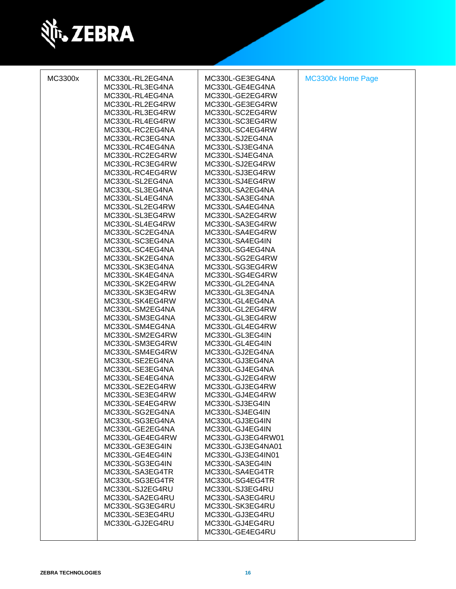

| MC3300x | MC330L-RL2EG4NA<br>MC330L-RL3EG4NA<br>MC330L-RL4EG4NA<br>MC330L-RL2EG4RW<br>MC330L-RL3EG4RW<br>MC330L-RL4EG4RW<br>MC330L-RC2EG4NA<br>MC330L-RC3EG4NA<br>MC330L-RC4EG4NA<br>MC330L-RC2EG4RW<br>MC330L-RC3EG4RW<br>MC330L-RC4EG4RW<br>MC330L-SL2EG4NA<br>MC330L-SL3EG4NA<br>MC330L-SL4EG4NA<br>MC330L-SL2EG4RW<br>MC330L-SL3EG4RW<br>MC330L-SL4EG4RW<br>MC330L-SC2EG4NA<br>MC330L-SC3EG4NA<br>MC330L-SC4EG4NA<br>MC330L-SK2EG4NA<br>MC330L-SK3EG4NA<br>MC330L-SK4EG4NA<br>MC330L-SK2EG4RW<br>MC330L-SK3EG4RW<br>MC330L-SK4EG4RW<br>MC330L-SM2EG4NA<br>MC330L-SM3EG4NA<br>MC330L-SM4EG4NA<br>MC330L-SM2EG4RW<br>MC330L-SM3EG4RW<br>MC330L-SM4EG4RW<br>MC330L-SE2EG4NA<br>MC330L-SE3EG4NA<br>MC330L-SE4EG4NA<br>MC330L-SE2EG4RW<br>MC330L-SE3EG4RW<br>MC330L-SE4EG4RW | MC330L-GE3EG4NA<br>MC330L-GE4EG4NA<br>MC330L-GE2EG4RW<br>MC330L-GE3EG4RW<br>MC330L-SC2EG4RW<br>MC330L-SC3EG4RW<br>MC330L-SC4EG4RW<br>MC330L-SJ2EG4NA<br>MC330L-SJ3EG4NA<br>MC330L-SJ4EG4NA<br>MC330L-SJ2EG4RW<br>MC330L-SJ3EG4RW<br>MC330L-SJ4EG4RW<br>MC330L-SA2EG4NA<br>MC330L-SA3EG4NA<br>MC330L-SA4EG4NA<br>MC330L-SA2EG4RW<br>MC330L-SA3EG4RW<br>MC330L-SA4EG4RW<br>MC330L-SA4EG4IN<br>MC330L-SG4EG4NA<br>MC330L-SG2EG4RW<br>MC330L-SG3EG4RW<br>MC330L-SG4EG4RW<br>MC330L-GL2EG4NA<br>MC330L-GL3EG4NA<br>MC330L-GL4EG4NA<br>MC330L-GL2EG4RW<br>MC330L-GL3EG4RW<br>MC330L-GL4EG4RW<br>MC330L-GL3EG4IN<br>MC330L-GL4EG4IN<br>MC330L-GJ2EG4NA<br>MC330L-GJ3EG4NA<br>MC330L-GJ4EG4NA<br>MC330L-GJ2EG4RW<br>MC330L-GJ3EG4RW<br>MC330L-GJ4EG4RW<br>MC330L-SJ3EG4IN | MC3300x Home Page |
|---------|-------------------------------------------------------------------------------------------------------------------------------------------------------------------------------------------------------------------------------------------------------------------------------------------------------------------------------------------------------------------------------------------------------------------------------------------------------------------------------------------------------------------------------------------------------------------------------------------------------------------------------------------------------------------------------------------------------------------------------------------------------------------|-------------------------------------------------------------------------------------------------------------------------------------------------------------------------------------------------------------------------------------------------------------------------------------------------------------------------------------------------------------------------------------------------------------------------------------------------------------------------------------------------------------------------------------------------------------------------------------------------------------------------------------------------------------------------------------------------------------------------------------------------------------------|-------------------|
|         |                                                                                                                                                                                                                                                                                                                                                                                                                                                                                                                                                                                                                                                                                                                                                                   |                                                                                                                                                                                                                                                                                                                                                                                                                                                                                                                                                                                                                                                                                                                                                                   |                   |
|         |                                                                                                                                                                                                                                                                                                                                                                                                                                                                                                                                                                                                                                                                                                                                                                   |                                                                                                                                                                                                                                                                                                                                                                                                                                                                                                                                                                                                                                                                                                                                                                   |                   |
|         |                                                                                                                                                                                                                                                                                                                                                                                                                                                                                                                                                                                                                                                                                                                                                                   |                                                                                                                                                                                                                                                                                                                                                                                                                                                                                                                                                                                                                                                                                                                                                                   |                   |
|         | MC330L-SG2EG4NA                                                                                                                                                                                                                                                                                                                                                                                                                                                                                                                                                                                                                                                                                                                                                   | MC330L-SJ4EG4IN                                                                                                                                                                                                                                                                                                                                                                                                                                                                                                                                                                                                                                                                                                                                                   |                   |
|         | MC330L-SG3EG4NA                                                                                                                                                                                                                                                                                                                                                                                                                                                                                                                                                                                                                                                                                                                                                   | MC330L-GJ3EG4IN                                                                                                                                                                                                                                                                                                                                                                                                                                                                                                                                                                                                                                                                                                                                                   |                   |
|         | MC330L-GE2EG4NA                                                                                                                                                                                                                                                                                                                                                                                                                                                                                                                                                                                                                                                                                                                                                   | MC330L-GJ4EG4IN                                                                                                                                                                                                                                                                                                                                                                                                                                                                                                                                                                                                                                                                                                                                                   |                   |
|         | MC330L-GE4EG4RW<br>MC330L-GE3EG4IN                                                                                                                                                                                                                                                                                                                                                                                                                                                                                                                                                                                                                                                                                                                                | MC330L-GJ3EG4RW01<br>MC330L-GJ3EG4NA01                                                                                                                                                                                                                                                                                                                                                                                                                                                                                                                                                                                                                                                                                                                            |                   |
|         | MC330L-GE4EG4IN                                                                                                                                                                                                                                                                                                                                                                                                                                                                                                                                                                                                                                                                                                                                                   | MC330L-GJ3EG4IN01                                                                                                                                                                                                                                                                                                                                                                                                                                                                                                                                                                                                                                                                                                                                                 |                   |
|         | MC330L-SG3EG4IN                                                                                                                                                                                                                                                                                                                                                                                                                                                                                                                                                                                                                                                                                                                                                   | MC330L-SA3EG4IN                                                                                                                                                                                                                                                                                                                                                                                                                                                                                                                                                                                                                                                                                                                                                   |                   |
|         | MC330L-SA3EG4TR                                                                                                                                                                                                                                                                                                                                                                                                                                                                                                                                                                                                                                                                                                                                                   | MC330L-SA4EG4TR                                                                                                                                                                                                                                                                                                                                                                                                                                                                                                                                                                                                                                                                                                                                                   |                   |
|         | MC330L-SG3EG4TR                                                                                                                                                                                                                                                                                                                                                                                                                                                                                                                                                                                                                                                                                                                                                   | MC330L-SG4EG4TR                                                                                                                                                                                                                                                                                                                                                                                                                                                                                                                                                                                                                                                                                                                                                   |                   |
|         | MC330L-SJ2EG4RU                                                                                                                                                                                                                                                                                                                                                                                                                                                                                                                                                                                                                                                                                                                                                   | MC330L-SJ3EG4RU                                                                                                                                                                                                                                                                                                                                                                                                                                                                                                                                                                                                                                                                                                                                                   |                   |
|         | MC330L-SA2EG4RU                                                                                                                                                                                                                                                                                                                                                                                                                                                                                                                                                                                                                                                                                                                                                   | MC330L-SA3EG4RU                                                                                                                                                                                                                                                                                                                                                                                                                                                                                                                                                                                                                                                                                                                                                   |                   |
|         | MC330L-SG3EG4RU                                                                                                                                                                                                                                                                                                                                                                                                                                                                                                                                                                                                                                                                                                                                                   | MC330L-SK3EG4RU                                                                                                                                                                                                                                                                                                                                                                                                                                                                                                                                                                                                                                                                                                                                                   |                   |
|         | MC330L-SE3EG4RU<br>MC330L-GJ2EG4RU                                                                                                                                                                                                                                                                                                                                                                                                                                                                                                                                                                                                                                                                                                                                | MC330L-GJ3EG4RU<br>MC330L-GJ4EG4RU                                                                                                                                                                                                                                                                                                                                                                                                                                                                                                                                                                                                                                                                                                                                |                   |
|         |                                                                                                                                                                                                                                                                                                                                                                                                                                                                                                                                                                                                                                                                                                                                                                   | MC330L-GE4EG4RU                                                                                                                                                                                                                                                                                                                                                                                                                                                                                                                                                                                                                                                                                                                                                   |                   |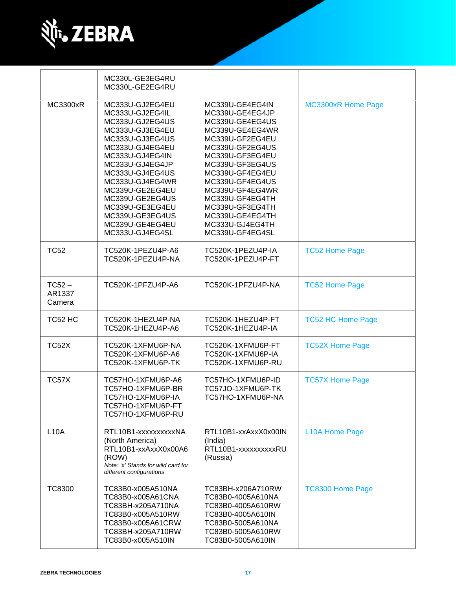

|                              | MC330L-GE3EG4RU<br>MC330L-GE2EG4RU                                                                                                                                                                                                                                                                           |                                                                                                                                                                                                                                                                                                              |                           |
|------------------------------|--------------------------------------------------------------------------------------------------------------------------------------------------------------------------------------------------------------------------------------------------------------------------------------------------------------|--------------------------------------------------------------------------------------------------------------------------------------------------------------------------------------------------------------------------------------------------------------------------------------------------------------|---------------------------|
| <b>MC3300xR</b>              | MC333U-GJ2EG4EU<br>MC333U-GJ2EG4IL<br>MC333U-GJ2EG4US<br>MC333U-GJ3EG4EU<br>MC333U-GJ3EG4US<br>MC333U-GJ4EG4EU<br>MC333U-GJ4EG4IN<br>MC333U-GJ4EG4JP<br>MC333U-GJ4EG4US<br>MC333U-GJ4EG4WR<br>MC339U-GE2EG4EU<br>MC339U-GE2EG4US<br>MC339U-GE3EG4EU<br>MC339U-GE3EG4US<br>MC339U-GE4EG4EU<br>MC333U-GJ4EG4SL | MC339U-GE4EG4IN<br>MC339U-GE4EG4JP<br>MC339U-GE4EG4US<br>MC339U-GE4EG4WR<br>MC339U-GF2EG4EU<br>MC339U-GF2EG4US<br>MC339U-GF3EG4EU<br>MC339U-GF3EG4US<br>MC339U-GF4EG4EU<br>MC339U-GF4EG4US<br>MC339U-GF4EG4WR<br>MC339U-GF4EG4TH<br>MC339U-GF3EG4TH<br>MC339U-GE4EG4TH<br>MC333U-GJ4EG4TH<br>MC339U-GF4EG4SL | <b>MC3300xR Home Page</b> |
| <b>TC52</b>                  | TC520K-1PEZU4P-A6<br>TC520K-1PEZU4P-NA                                                                                                                                                                                                                                                                       | TC520K-1PEZU4P-IA<br>TC520K-1PEZU4P-FT                                                                                                                                                                                                                                                                       | <b>TC52 Home Page</b>     |
| $TC52 -$<br>AR1337<br>Camera | TC520K-1PFZU4P-A6                                                                                                                                                                                                                                                                                            | TC520K-1PFZU4P-NA                                                                                                                                                                                                                                                                                            | <b>TC52 Home Page</b>     |
| TC52 HC                      | TC520K-1HEZU4P-NA<br>TC520K-1HEZU4P-A6                                                                                                                                                                                                                                                                       | TC520K-1HEZU4P-FT<br>TC520K-1HEZU4P-IA                                                                                                                                                                                                                                                                       | <b>TC52 HC Home Page</b>  |
| <b>TC52X</b>                 | TC520K-1XFMU6P-NA<br>TC520K-1XFMU6P-A6<br>TC520K-1XFMU6P-TK                                                                                                                                                                                                                                                  | TC520K-1XFMU6P-FT<br>TC520K-1XFMU6P-IA<br>TC520K-1XFMU6P-RU                                                                                                                                                                                                                                                  | <b>TC52X Home Page</b>    |
| TC57X                        | TC57HO-1XFMU6P-A6<br>TC57HO-1XFMU6P-BR<br>TC57HO-1XFMU6P-IA<br>TC57HO-1XFMU6P-FT<br>TC57HO-1XFMU6P-RU                                                                                                                                                                                                        | TC57HO-1XFMU6P-ID<br>TC57JO-1XFMU6P-TK<br>TC57HO-1XFMU6P-NA                                                                                                                                                                                                                                                  | <b>TC57X Home Page</b>    |
| <b>L10A</b>                  | RTL10B1-xxxxxxxxxXNA<br>(North America)<br>RTL10B1-xxAxxX0x00A6<br>(ROW)<br>Note: 'x' Stands for wild card for<br>different configurations                                                                                                                                                                   | RTL10B1-xxAxxX0x00IN<br>(India)<br>RTL10B1-xxxxxxxxxxRU<br>(Russia)                                                                                                                                                                                                                                          | L10A Home Page            |
| <b>TC8300</b>                | TC83B0-x005A510NA<br>TC83B0-x005A61CNA<br>TC83BH-x205A710NA<br>TC83B0-x005A510RW<br>TC83B0-x005A61CRW<br>TC83BH-x205A710RW<br>TC83B0-x005A510IN                                                                                                                                                              | TC83BH-x206A710RW<br>TC83B0-4005A610NA<br>TC83B0-4005A610RW<br>TC83B0-4005A610IN<br>TC83B0-5005A610NA<br>TC83B0-5005A610RW<br>TC83B0-5005A610IN                                                                                                                                                              | <b>TC8300 Home Page</b>   |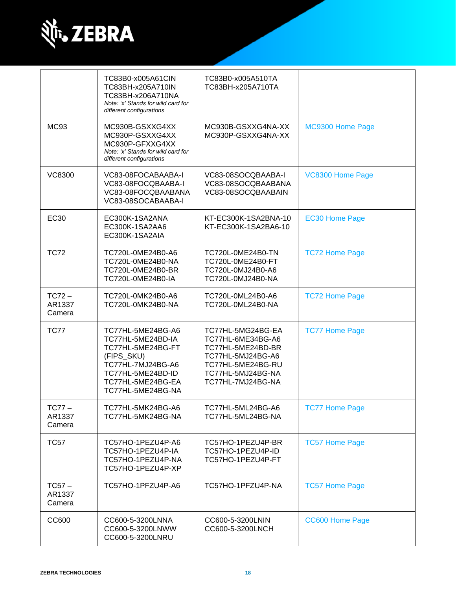

|                              | TC83B0-x005A61CIN<br>TC83BH-x205A710IN<br>TC83BH-x206A710NA<br>Note: 'x' Stands for wild card for<br>different configurations                                 | TC83B0-x005A510TA<br>TC83BH-x205A710TA                                                                                                          |                        |
|------------------------------|---------------------------------------------------------------------------------------------------------------------------------------------------------------|-------------------------------------------------------------------------------------------------------------------------------------------------|------------------------|
| <b>MC93</b>                  | MC930B-GSXXG4XX<br>MC930P-GSXXG4XX<br>MC930P-GFXXG4XX<br>Note: 'x' Stands for wild card for<br>different configurations                                       | MC930B-GSXXG4NA-XX<br>MC930P-GSXXG4NA-XX                                                                                                        | MC9300 Home Page       |
| <b>VC8300</b>                | VC83-08FOCABAABA-I<br>VC83-08FOCQBAABA-I<br>VC83-08FOCQBAABANA<br>VC83-08SOCABAABA-I                                                                          | VC83-08SOCQBAABA-I<br>VC83-08SOCQBAABANA<br>VC83-08SOCQBAABAIN                                                                                  | VC8300 Home Page       |
| <b>EC30</b>                  | EC300K-1SA2ANA<br>EC300K-1SA2AA6<br>EC300K-1SA2AIA                                                                                                            | KT-EC300K-1SA2BNA-10<br>KT-EC300K-1SA2BA6-10                                                                                                    | <b>EC30 Home Page</b>  |
| <b>TC72</b>                  | TC720L-0ME24B0-A6<br>TC720L-0ME24B0-NA<br>TC720L-0ME24B0-BR<br>TC720L-0ME24B0-IA                                                                              | TC720L-0ME24B0-TN<br>TC720L-0ME24B0-FT<br>TC720L-0MJ24B0-A6<br>TC720L-0MJ24B0-NA                                                                | <b>TC72 Home Page</b>  |
| $TC72 -$<br>AR1337<br>Camera | TC720L-0MK24B0-A6<br>TC720L-0MK24B0-NA                                                                                                                        | TC720L-0ML24B0-A6<br>TC720L-0ML24B0-NA                                                                                                          | <b>TC72 Home Page</b>  |
| <b>TC77</b>                  | TC77HL-5ME24BG-A6<br>TC77HL-5ME24BD-IA<br>TC77HL-5ME24BG-FT<br>(FIPS_SKU)<br>TC77HL-7MJ24BG-A6<br>TC77HL-5ME24BD-ID<br>TC77HL-5ME24BG-EA<br>TC77HL-5ME24BG-NA | TC77HL-5MG24BG-EA<br>TC77HL-6ME34BG-A6<br>TC77HL-5ME24BD-BR<br>TC77HL-5MJ24BG-A6<br>TC77HL-5ME24BG-RU<br>TC77HL-5MJ24BG-NA<br>TC77HL-7MJ24BG-NA | <b>TC77 Home Page</b>  |
| $TC77-$<br>AR1337<br>Camera  | TC77HL-5MK24BG-A6<br>TC77HL-5MK24BG-NA                                                                                                                        | TC77HL-5ML24BG-A6<br>TC77HL-5ML24BG-NA                                                                                                          | <b>TC77 Home Page</b>  |
| <b>TC57</b>                  | TC57HO-1PEZU4P-A6<br>TC57HO-1PEZU4P-IA<br>TC57HO-1PEZU4P-NA<br>TC57HO-1PEZU4P-XP                                                                              | TC57HO-1PEZU4P-BR<br>TC57HO-1PEZU4P-ID<br>TC57HO-1PEZU4P-FT                                                                                     | <b>TC57 Home Page</b>  |
| $TC57 -$<br>AR1337<br>Camera | TC57HO-1PFZU4P-A6                                                                                                                                             | TC57HO-1PFZU4P-NA                                                                                                                               | <b>TC57 Home Page</b>  |
| CC600                        | CC600-5-3200LNNA<br>CC600-5-3200LNWW<br>CC600-5-3200LNRU                                                                                                      | CC600-5-3200LNIN<br>CC600-5-3200LNCH                                                                                                            | <b>CC600 Home Page</b> |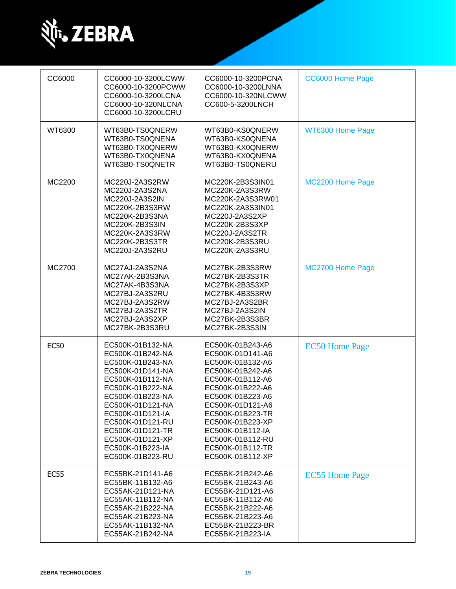

| CC6000      | CC6000-10-3200LCWW<br>CC6000-10-3200PCWW<br>CC6000-10-3200LCNA<br>CC6000-10-320NLCNA<br>CC6000-10-3200LCRU                                                                                                                                                                           | CC6000-10-3200PCNA<br>CC6000-10-3200LNNA<br>CC6000-10-320NLCWW<br>CC600-5-3200LNCH                                                                                                                                                                                                   | CC6000 Home Page      |
|-------------|--------------------------------------------------------------------------------------------------------------------------------------------------------------------------------------------------------------------------------------------------------------------------------------|--------------------------------------------------------------------------------------------------------------------------------------------------------------------------------------------------------------------------------------------------------------------------------------|-----------------------|
| WT6300      | WT63B0-TS0QNERW<br>WT63B0-TS0QNENA<br>WT63B0-TX0QNERW<br>WT63B0-TX0QNENA<br>WT63B0-TS0QNETR                                                                                                                                                                                          | WT63B0-KS0QNERW<br>WT63B0-KS0QNENA<br>WT63B0-KX0QNERW<br>WT63B0-KX0QNENA<br>WT63B0-TS0QNERU                                                                                                                                                                                          | WT6300 Home Page      |
| MC2200      | MC220J-2A3S2RW<br>MC220J-2A3S2NA<br>MC220J-2A3S2IN<br>MC220K-2B3S3RW<br>MC220K-2B3S3NA<br>MC220K-2B3S3IN<br>MC220K-2A3S3RW<br>MC220K-2B3S3TR<br>MC220J-2A3S2RU                                                                                                                       | MC220K-2B3S3IN01<br>MC220K-2A3S3RW<br>MC220K-2A3S3RW01<br>MC220K-2A3S3IN01<br>MC220J-2A3S2XP<br>MC220K-2B3S3XP<br>MC220J-2A3S2TR<br>MC220K-2B3S3RU<br>MC220K-2A3S3RU                                                                                                                 | MC2200 Home Page      |
| MC2700      | MC27AJ-2A3S2NA<br>MC27AK-2B3S3NA<br>MC27AK-4B3S3NA<br>MC27BJ-2A3S2RU<br>MC27BJ-2A3S2RW<br>MC27BJ-2A3S2TR<br>MC27BJ-2A3S2XP<br>MC27BK-2B3S3RU                                                                                                                                         | MC27BK-2B3S3RW<br>MC27BK-2B3S3TR<br>MC27BK-2B3S3XP<br>MC27BK-4B3S3RW<br>MC27BJ-2A3S2BR<br>MC27BJ-2A3S2IN<br>MC27BK-2B3S3BR<br>MC27BK-2B3S3IN                                                                                                                                         | MC2700 Home Page      |
| <b>EC50</b> | EC500K-01B132-NA<br>EC500K-01B242-NA<br>EC500K-01B243-NA<br>EC500K-01D141-NA<br>EC500K-01B112-NA<br>EC500K-01B222-NA<br>EC500K-01B223-NA<br>EC500K-01D121-NA<br>EC500K-01D121-IA<br>EC500K-01D121-RU<br>EC500K-01D121-TR<br>EC500K-01D121-XP<br>EC500K-01B223-IA<br>EC500K-01B223-RU | EC500K-01B243-A6<br>EC500K-01D141-A6<br>EC500K-01B132-A6<br>EC500K-01B242-A6<br>EC500K-01B112-A6<br>EC500K-01B222-A6<br>EC500K-01B223-A6<br>EC500K-01D121-A6<br>EC500K-01B223-TR<br>EC500K-01B223-XP<br>EC500K-01B112-IA<br>EC500K-01B112-RU<br>EC500K-01B112-TR<br>EC500K-01B112-XP | <b>EC50 Home Page</b> |
| <b>EC55</b> | EC55BK-21D141-A6<br>EC55BK-11B132-A6<br>EC55AK-21D121-NA<br>EC55AK-11B112-NA<br>EC55AK-21B222-NA<br>EC55AK-21B223-NA<br>EC55AK-11B132-NA<br>EC55AK-21B242-NA                                                                                                                         | EC55BK-21B242-A6<br>EC55BK-21B243-A6<br>EC55BK-21D121-A6<br>EC55BK-11B112-A6<br>EC55BK-21B222-A6<br>EC55BK-21B223-A6<br>EC55BK-21B223-BR<br>EC55BK-21B223-IA                                                                                                                         | <b>EC55 Home Page</b> |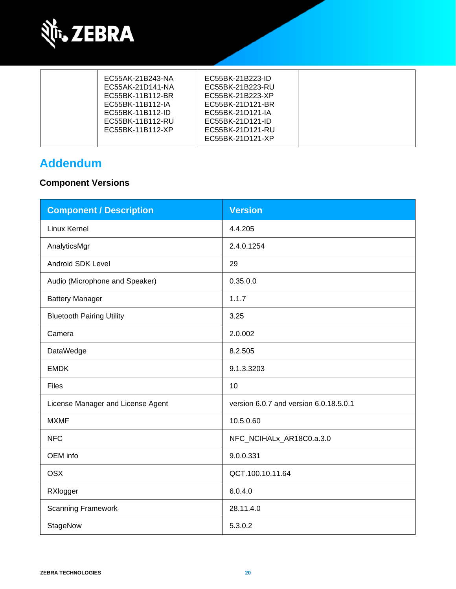

| EC55AK-21B243-NA | EC55BK-21B223-ID |
|------------------|------------------|
| EC55AK-21D141-NA | EC55BK-21B223-RU |
| EC55BK-11B112-BR | EC55BK-21B223-XP |
| EC55BK-11B112-IA | EC55BK-21D121-BR |
| EC55BK-11B112-ID | EC55BK-21D121-IA |
| EC55BK-11B112-RU | EC55BK-21D121-ID |
| EC55BK-11B112-XP | EC55BK-21D121-RU |
|                  | EC55BK-21D121-XP |
|                  |                  |

## **Addendum**

## **Component Versions**

| <b>Component / Description</b>    | <b>Version</b>                         |
|-----------------------------------|----------------------------------------|
| Linux Kernel                      | 4.4.205                                |
| AnalyticsMgr                      | 2.4.0.1254                             |
| <b>Android SDK Level</b>          | 29                                     |
| Audio (Microphone and Speaker)    | 0.35.0.0                               |
| <b>Battery Manager</b>            | 1.1.7                                  |
| <b>Bluetooth Pairing Utility</b>  | 3.25                                   |
| Camera                            | 2.0.002                                |
| DataWedge                         | 8.2.505                                |
| <b>EMDK</b>                       | 9.1.3.3203                             |
| Files                             | 10                                     |
| License Manager and License Agent | version 6.0.7 and version 6.0.18.5.0.1 |
| <b>MXMF</b>                       | 10.5.0.60                              |
| <b>NFC</b>                        | NFC_NCIHALx_AR18C0.a.3.0               |
| OEM info                          | 9.0.0.331                              |
| <b>OSX</b>                        | QCT.100.10.11.64                       |
| RXlogger                          | 6.0.4.0                                |
| <b>Scanning Framework</b>         | 28.11.4.0                              |
| StageNow                          | 5.3.0.2                                |